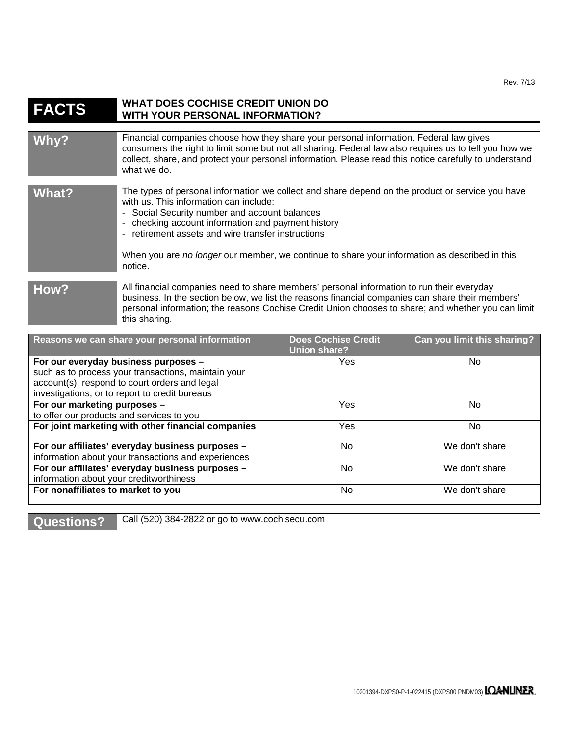## **FACTS WHAT DOES COCHISE CREDIT UNION DO WITH YOUR PERSONAL INFORMATION?**

| Why?         | Financial companies choose how they share your personal information. Federal law gives<br>consumers the right to limit some but not all sharing. Federal law also requires us to tell you how we<br>collect, share, and protect your personal information. Please read this notice carefully to understand<br>what we do.                                                                                           |
|--------------|---------------------------------------------------------------------------------------------------------------------------------------------------------------------------------------------------------------------------------------------------------------------------------------------------------------------------------------------------------------------------------------------------------------------|
| <b>What?</b> | The types of personal information we collect and share depend on the product or service you have<br>with us. This information can include:<br>- Social Security number and account balances<br>- checking account information and payment history<br>- retirement assets and wire transfer instructions<br>When you are no longer our member, we continue to share your information as described in this<br>notice. |
| How?         | All financial companies need to share members' personal information to run their everyday<br>business. In the section below, we list the reasons financial companies can share their members'<br>personal information; the reasons Cochise Credit Union chooses to share; and whether you can limit<br>this sharing.                                                                                                |

| Reasons we can share your personal information                                              | <b>Does Cochise Credit</b><br><b>Union share?</b> | Can you limit this sharing? |
|---------------------------------------------------------------------------------------------|---------------------------------------------------|-----------------------------|
| For our everyday business purposes -<br>such as to process your transactions, maintain your | <b>Yes</b>                                        | No.                         |
| account(s), respond to court orders and legal                                               |                                                   |                             |
| investigations, or to report to credit bureaus                                              |                                                   |                             |
| For our marketing purposes -                                                                | Yes                                               | No.                         |
| to offer our products and services to you                                                   |                                                   |                             |
| For joint marketing with other financial companies                                          | Yes                                               | No.                         |
| For our affiliates' everyday business purposes -                                            | No.                                               | We don't share              |
| information about your transactions and experiences                                         |                                                   |                             |
| For our affiliates' everyday business purposes -                                            | No.                                               | We don't share              |
| information about your creditworthiness                                                     |                                                   |                             |
| For nonaffiliates to market to you                                                          | No                                                | We don't share              |

Questions? <br>Call (520) 384-2822 or go to www.cochisecu.com